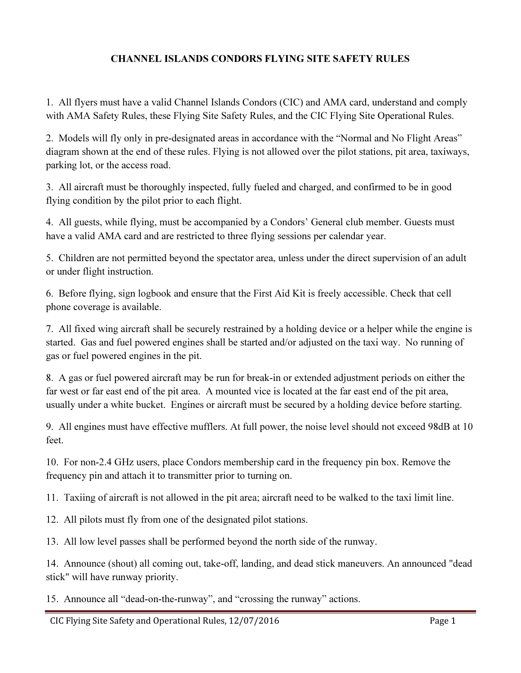## CHANNEL ISLANDS CONDORS FLYING SITE SAFETY RULES

1. All flyers must have a valid Channel Islands Condors (CIC) and AMA card, understand and comply with AMA Safety Rules, these Flying Site Safety Rules, and the CIC Flying Site Operational Rules.

2. Models will fly only in pre-designated areas in accordance with the "Normal and No Flight Areas" diagram shown at the end of these rules. Flying is not allowed over the pilot stations, pit area, taxiways, parking lot, or the access road.

3. All aircraft must be thoroughly inspected, fully fueled and charged, and confirmed to be in good flying condition by the pilot prior to each flight.

4. All guests, while flying, must be accompanied by a Condors' General club member. Guests must have a valid AMA card and are restricted to three flying sessions per calendar year.

5. Children are not permitted beyond the spectator area, unless under the direct supervision of an adult or under flight instruction.

6. Before flying, sign logbook and ensure that the First Aid Kit is freely accessible. Check that cell phone coverage is available.

7. All fixed wing aircraft shall be securely restrained by a holding device or a helper while the engine is started. Gas and fuel powered engines shall be started and/or adjusted on the taxi way. No running of gas or fuel powered engines in the pit.

8. A gas or fuel powered aircraft may be run for break-in or extended adjustment periods on either the far west or far east end of the pit area. A mounted vice is located at the far east end of the pit area, usually under a white bucket. Engines or aircraft must be secured by a holding device before starting.

9. All engines must have effective mufflers. At full power, the noise level should not exceed 98dB at 10 feet.

10. For non-2.4 GHz users, place Condors membership card in the frequency pin box. Remove the frequency pin and attach it to transmitter prior to turning on.

11. Taxiing of aircraft is not allowed in the pit area; aircraft need to be walked to the taxi limit line.

12. All pilots must fly from one of the designated pilot stations.

13. All low level passes shall be performed beyond the north side of the runway.

14. Announce (shout) all coming out, take-off, landing, and dead stick maneuvers. An announced "dead stick" will have runway priority.

15. Announce all "dead-on-the-runway", and "crossing the runway" actions.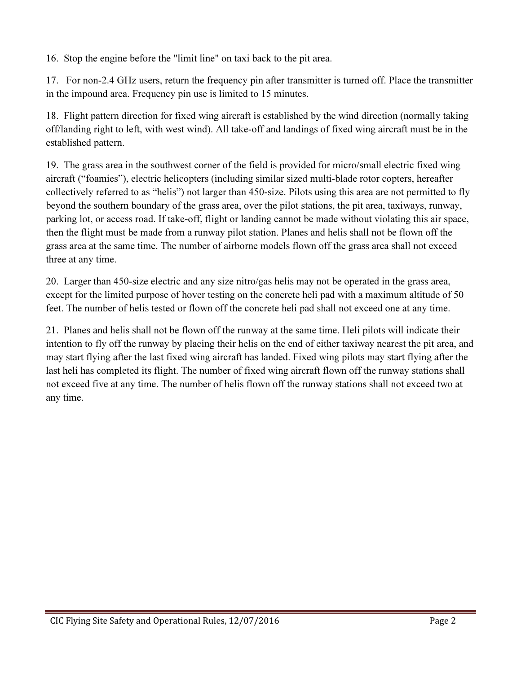16. Stop the engine before the "limit line" on taxi back to the pit area.

17. For non-2.4 GHz users, return the frequency pin after transmitter is turned off. Place the transmitter in the impound area. Frequency pin use is limited to 15 minutes.

18. Flight pattern direction for fixed wing aircraft is established by the wind direction (normally taking off/landing right to left, with west wind). All take-off and landings of fixed wing aircraft must be in the established pattern.

19. The grass area in the southwest corner of the field is provided for micro/small electric fixed wing aircraft ("foamies"), electric helicopters (including similar sized multi-blade rotor copters, hereafter collectively referred to as "helis") not larger than 450-size. Pilots using this area are not permitted to fly beyond the southern boundary of the grass area, over the pilot stations, the pit area, taxiways, runway, parking lot, or access road. If take-off, flight or landing cannot be made without violating this air space, then the flight must be made from a runway pilot station. Planes and helis shall not be flown off the grass area at the same time. The number of airborne models flown off the grass area shall not exceed three at any time.

20. Larger than 450-size electric and any size nitro/gas helis may not be operated in the grass area, except for the limited purpose of hover testing on the concrete heli pad with a maximum altitude of 50 feet. The number of helis tested or flown off the concrete heli pad shall not exceed one at any time.

21. Planes and helis shall not be flown off the runway at the same time. Heli pilots will indicate their intention to fly off the runway by placing their helis on the end of either taxiway nearest the pit area, and may start flying after the last fixed wing aircraft has landed. Fixed wing pilots may start flying after the last heli has completed its flight. The number of fixed wing aircraft flown off the runway stations shall not exceed five at any time. The number of helis flown off the runway stations shall not exceed two at any time.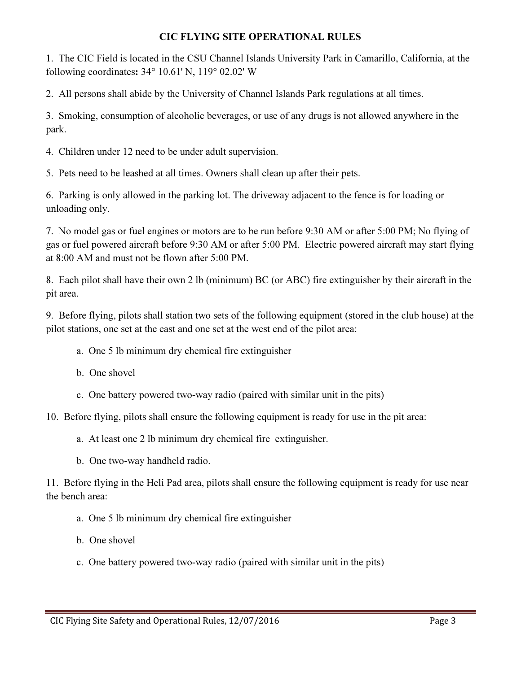## CIC FLYING SITE OPERATIONAL RULES

1. The CIC Field is located in the CSU Channel Islands University Park in Camarillo, California, at the following coordinates: 34° 10.61' N, 119° 02.02' W

2. All persons shall abide by the University of Channel Islands Park regulations at all times.

3. Smoking, consumption of alcoholic beverages, or use of any drugs is not allowed anywhere in the park.

4. Children under 12 need to be under adult supervision.

5. Pets need to be leashed at all times. Owners shall clean up after their pets.

6. Parking is only allowed in the parking lot. The driveway adjacent to the fence is for loading or unloading only.

7. No model gas or fuel engines or motors are to be run before 9:30 AM or after 5:00 PM; No flying of gas or fuel powered aircraft before 9:30 AM or after 5:00 PM. Electric powered aircraft may start flying at 8:00 AM and must not be flown after 5:00 PM.

8. Each pilot shall have their own 2 lb (minimum) BC (or ABC) fire extinguisher by their aircraft in the pit area.

9. Before flying, pilots shall station two sets of the following equipment (stored in the club house) at the pilot stations, one set at the east and one set at the west end of the pilot area:

- a. One 5 lb minimum dry chemical fire extinguisher
- b. One shovel
- c. One battery powered two-way radio (paired with similar unit in the pits)

10. Before flying, pilots shall ensure the following equipment is ready for use in the pit area:

- a. At least one 2 lb minimum dry chemical fire extinguisher.
- b. One two-way handheld radio.

11. Before flying in the Heli Pad area, pilots shall ensure the following equipment is ready for use near the bench area:

- a. One 5 lb minimum dry chemical fire extinguisher
- b. One shovel
- c. One battery powered two-way radio (paired with similar unit in the pits)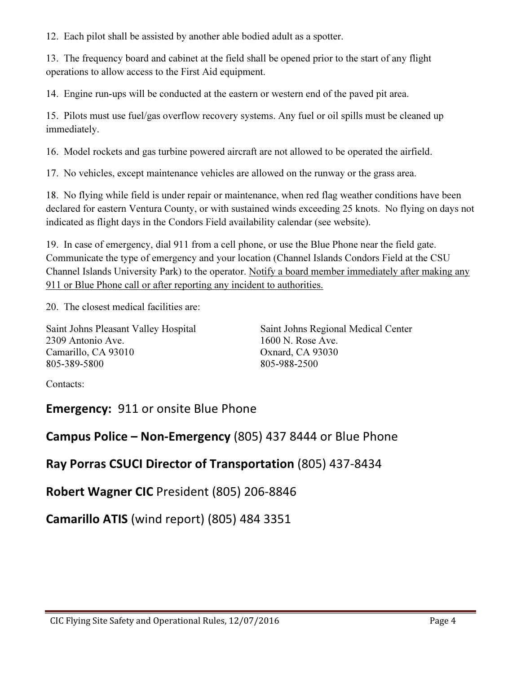12. Each pilot shall be assisted by another able bodied adult as a spotter.

13. The frequency board and cabinet at the field shall be opened prior to the start of any flight operations to allow access to the First Aid equipment.

14. Engine run-ups will be conducted at the eastern or western end of the paved pit area.

15. Pilots must use fuel/gas overflow recovery systems. Any fuel or oil spills must be cleaned up immediately.

16. Model rockets and gas turbine powered aircraft are not allowed to be operated the airfield.

17. No vehicles, except maintenance vehicles are allowed on the runway or the grass area.

18. No flying while field is under repair or maintenance, when red flag weather conditions have been declared for eastern Ventura County, or with sustained winds exceeding 25 knots. No flying on days not indicated as flight days in the Condors Field availability calendar (see website).

19. In case of emergency, dial 911 from a cell phone, or use the Blue Phone near the field gate. Communicate the type of emergency and your location (Channel Islands Condors Field at the CSU Channel Islands University Park) to the operator. Notify a board member immediately after making any 911 or Blue Phone call or after reporting any incident to authorities.

20. The closest medical facilities are:

2309 Antonio Ave. 1600 N. Rose Ave. Camarillo, CA 93010 Oxnard, CA 93030 805-389-5800 805-988-2500

Saint Johns Pleasant Valley Hospital Saint Johns Regional Medical Center

Contacts:

Emergency: 911 or onsite Blue Phone

Campus Police – Non-Emergency (805) 437 8444 or Blue Phone

Ray Porras CSUCI Director of Transportation (805) 437-8434

Robert Wagner CIC President (805) 206-8846

Camarillo ATIS (wind report) (805) 484 3351